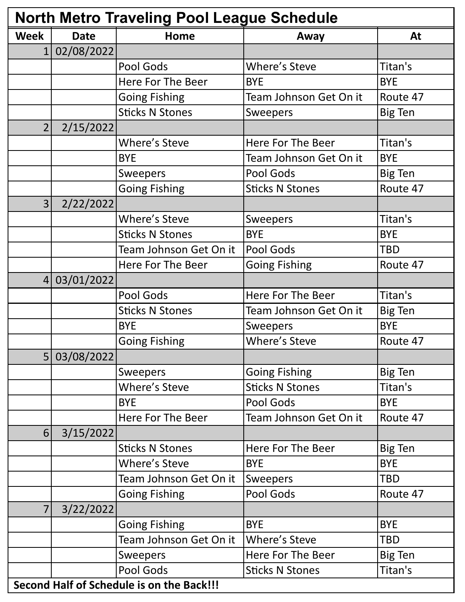| <b>North Metro Traveling Pool League Schedule</b> |              |                        |                        |                |  |  |
|---------------------------------------------------|--------------|------------------------|------------------------|----------------|--|--|
| <b>Week</b>                                       | <b>Date</b>  | Home                   | Away                   | At             |  |  |
| 1 <sup>1</sup>                                    | 02/08/2022   |                        |                        |                |  |  |
|                                                   |              | Pool Gods              | <b>Where's Steve</b>   | Titan's        |  |  |
|                                                   |              | Here For The Beer      | <b>BYE</b>             | <b>BYE</b>     |  |  |
|                                                   |              | <b>Going Fishing</b>   | Team Johnson Get On it | Route 47       |  |  |
|                                                   |              | <b>Sticks N Stones</b> | <b>Sweepers</b>        | Big Ten        |  |  |
| $\overline{2}$                                    | 2/15/2022    |                        |                        |                |  |  |
|                                                   |              | <b>Where's Steve</b>   | Here For The Beer      | Titan's        |  |  |
|                                                   |              | <b>BYE</b>             | Team Johnson Get On it | <b>BYE</b>     |  |  |
|                                                   |              | <b>Sweepers</b>        | Pool Gods              | Big Ten        |  |  |
|                                                   |              | <b>Going Fishing</b>   | <b>Sticks N Stones</b> | Route 47       |  |  |
| 3 <sup>1</sup>                                    | 2/22/2022    |                        |                        |                |  |  |
|                                                   |              | <b>Where's Steve</b>   | <b>Sweepers</b>        | Titan's        |  |  |
|                                                   |              | <b>Sticks N Stones</b> | <b>BYE</b>             | <b>BYE</b>     |  |  |
|                                                   |              | Team Johnson Get On it | Pool Gods              | <b>TBD</b>     |  |  |
|                                                   |              | Here For The Beer      | <b>Going Fishing</b>   | Route 47       |  |  |
| 4 <sup>1</sup>                                    | 03/01/2022   |                        |                        |                |  |  |
|                                                   |              | Pool Gods              | Here For The Beer      | Titan's        |  |  |
|                                                   |              | <b>Sticks N Stones</b> | Team Johnson Get On it | Big Ten        |  |  |
|                                                   |              | <b>BYE</b>             | Sweepers               | <b>BYE</b>     |  |  |
|                                                   |              | <b>Going Fishing</b>   | <b>Where's Steve</b>   | Route 47       |  |  |
|                                                   | 5 03/08/2022 |                        |                        |                |  |  |
|                                                   |              | <b>Sweepers</b>        | <b>Going Fishing</b>   | Big Ten        |  |  |
|                                                   |              | <b>Where's Steve</b>   | <b>Sticks N Stones</b> | Titan's        |  |  |
|                                                   |              | <b>BYE</b>             | Pool Gods              | <b>BYE</b>     |  |  |
|                                                   |              | Here For The Beer      | Team Johnson Get On it | Route 47       |  |  |
| 6                                                 | 3/15/2022    |                        |                        |                |  |  |
|                                                   |              | <b>Sticks N Stones</b> | Here For The Beer      | <b>Big Ten</b> |  |  |
|                                                   |              | Where's Steve          | <b>BYE</b>             | <b>BYE</b>     |  |  |
|                                                   |              | Team Johnson Get On it | Sweepers               | <b>TBD</b>     |  |  |
|                                                   |              | <b>Going Fishing</b>   | Pool Gods              | Route 47       |  |  |
| $\overline{7}$                                    | 3/22/2022    |                        |                        |                |  |  |
|                                                   |              | <b>Going Fishing</b>   | <b>BYE</b>             | <b>BYE</b>     |  |  |
|                                                   |              | Team Johnson Get On it | Where's Steve          | <b>TBD</b>     |  |  |
|                                                   |              | <b>Sweepers</b>        | Here For The Beer      | <b>Big Ten</b> |  |  |
|                                                   |              | Pool Gods              | <b>Sticks N Stones</b> | Titan's        |  |  |
| Second Half of Schedule is on the Back!!!         |              |                        |                        |                |  |  |